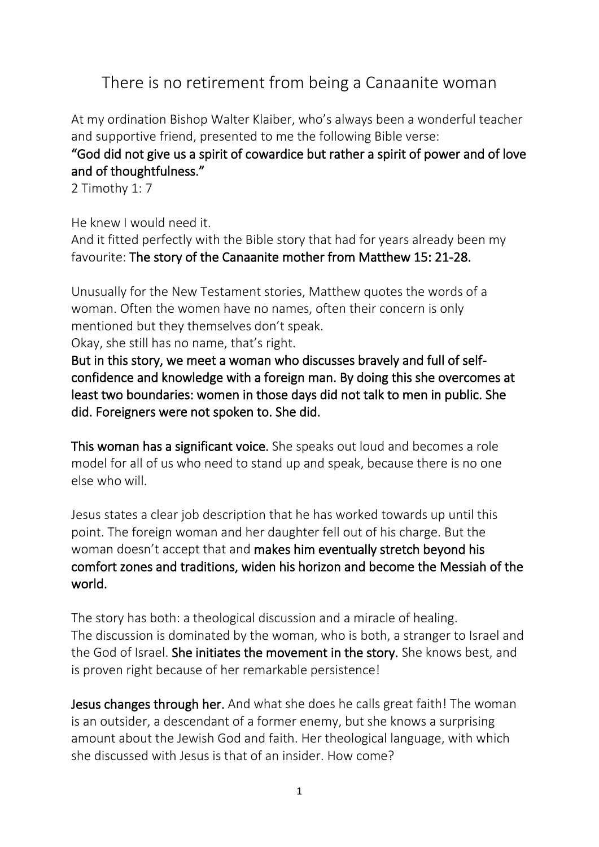## There is no retirement from being a Canaanite woman

At my ordination Bishop Walter Klaiber, who's always been a wonderful teacher and supportive friend, presented to me the following Bible verse:

## "God did not give us a spirit of cowardice but rather a spirit of power and of love and of thoughtfulness."

2 Timothy 1: 7

He knew I would need it.

And it fitted perfectly with the Bible story that had for years already been my favourite: The story of the Canaanite mother from Matthew 15: 21-28.

Unusually for the New Testament stories, Matthew quotes the words of a woman. Often the women have no names, often their concern is only mentioned but they themselves don't speak.

Okay, she still has no name, that's right.

But in this story, we meet a woman who discusses bravely and full of selfconfidence and knowledge with a foreign man. By doing this she overcomes at least two boundaries: women in those days did not talk to men in public. She did. Foreigners were not spoken to. She did.

This woman has a significant voice. She speaks out loud and becomes a role model for all of us who need to stand up and speak, because there is no one else who will.

Jesus states a clear job description that he has worked towards up until this point. The foreign woman and her daughter fell out of his charge. But the woman doesn't accept that and makes him eventually stretch beyond his comfort zones and traditions, widen his horizon and become the Messiah of the world.

The story has both: a theological discussion and a miracle of healing. The discussion is dominated by the woman, who is both, a stranger to Israel and the God of Israel. She initiates the movement in the story. She knows best, and is proven right because of her remarkable persistence!

Jesus changes through her. And what she does he calls great faith! The woman is an outsider, a descendant of a former enemy, but she knows a surprising amount about the Jewish God and faith. Her theological language, with which she discussed with Jesus is that of an insider. How come?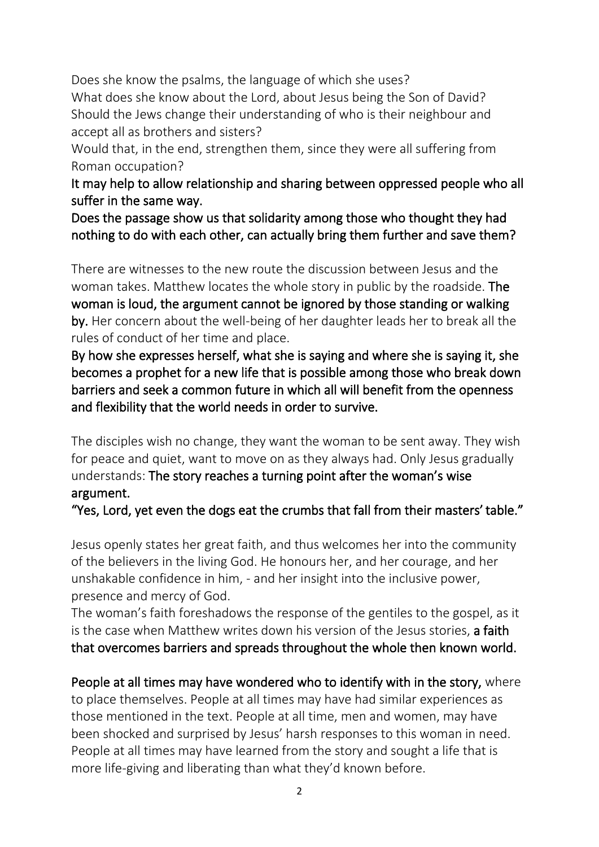Does she know the psalms, the language of which she uses? What does she know about the Lord, about Jesus being the Son of David? Should the Jews change their understanding of who is their neighbour and accept all as brothers and sisters?

Would that, in the end, strengthen them, since they were all suffering from Roman occupation?

It may help to allow relationship and sharing between oppressed people who all suffer in the same way.

Does the passage show us that solidarity among those who thought they had nothing to do with each other, can actually bring them further and save them?

There are witnesses to the new route the discussion between Jesus and the woman takes. Matthew locates the whole story in public by the roadside. The woman is loud, the argument cannot be ignored by those standing or walking by. Her concern about the well-being of her daughter leads her to break all the rules of conduct of her time and place.

By how she expresses herself, what she is saying and where she is saying it, she becomes a prophet for a new life that is possible among those who break down barriers and seek a common future in which all will benefit from the openness and flexibility that the world needs in order to survive.

The disciples wish no change, they want the woman to be sent away. They wish for peace and quiet, want to move on as they always had. Only Jesus gradually understands: The story reaches a turning point after the woman's wise argument.

"Yes, Lord, yet even the dogs eat the crumbs that fall from their masters' table."

Jesus openly states her great faith, and thus welcomes her into the community of the believers in the living God. He honours her, and her courage, and her unshakable confidence in him, - and her insight into the inclusive power, presence and mercy of God.

The woman's faith foreshadows the response of the gentiles to the gospel, as it is the case when Matthew writes down his version of the Jesus stories, a faith that overcomes barriers and spreads throughout the whole then known world.

People at all times may have wondered who to identify with in the story, where to place themselves. People at all times may have had similar experiences as those mentioned in the text. People at all time, men and women, may have been shocked and surprised by Jesus' harsh responses to this woman in need. People at all times may have learned from the story and sought a life that is more life-giving and liberating than what they'd known before.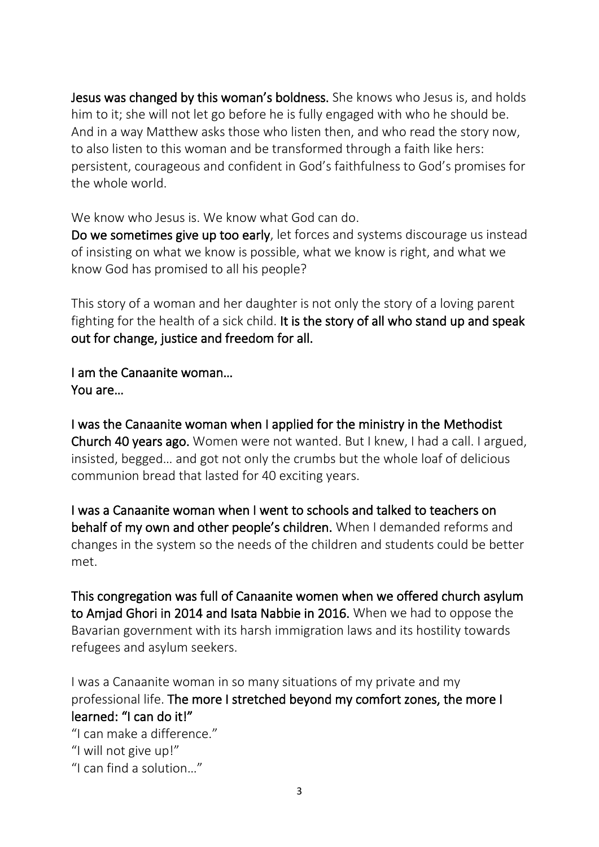Jesus was changed by this woman's boldness. She knows who Jesus is, and holds him to it; she will not let go before he is fully engaged with who he should be. And in a way Matthew asks those who listen then, and who read the story now, to also listen to this woman and be transformed through a faith like hers: persistent, courageous and confident in God's faithfulness to God's promises for the whole world.

We know who Jesus is. We know what God can do.

Do we sometimes give up too early, let forces and systems discourage us instead of insisting on what we know is possible, what we know is right, and what we know God has promised to all his people?

This story of a woman and her daughter is not only the story of a loving parent fighting for the health of a sick child. It is the story of all who stand up and speak out for change, justice and freedom for all.

I am the Canaanite woman… You are…

I was the Canaanite woman when I applied for the ministry in the Methodist Church 40 years ago. Women were not wanted. But I knew, I had a call. I argued, insisted, begged… and got not only the crumbs but the whole loaf of delicious communion bread that lasted for 40 exciting years.

I was a Canaanite woman when I went to schools and talked to teachers on behalf of my own and other people's children. When I demanded reforms and changes in the system so the needs of the children and students could be better met.

This congregation was full of Canaanite women when we offered church asylum to Amjad Ghori in 2014 and Isata Nabbie in 2016. When we had to oppose the Bavarian government with its harsh immigration laws and its hostility towards refugees and asylum seekers.

I was a Canaanite woman in so many situations of my private and my professional life. The more I stretched beyond my comfort zones, the more I learned: "I can do it!"

"I can make a difference."

- "I will not give up!"
- "I can find a solution…"